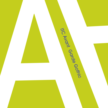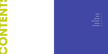- Lubalin 4
- History 8 4<br>8
- Type Sizes 12
- Type Anatomy 14
	- Ligatures 16
- Key Features 20

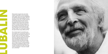**LUBALINE** 

Most people recognize the name Herb Lubalin in association with the typeface Avant Garde. And he was the typographer and designer behind its creation, after the success of Avant Garde Magazine and its typographic logo. But, his career spanned a much wider scope than that. One of the people behind the culture-shocking magazines Avant-Garde, Eros and Fact, he was a constant boundary breaker on both a visual and social level. Part of the founding team of the International Typeface Corporation (ITC) and the principal of Herb Lubalin, Inc it was hard to escape the reach of Herb during 1960s and 70s.

His constant search for something new and a passion for inventiveness made him one of the most successful art directors of the 20th century. He had offices internationally in Paris and London and partnered with many talented individuals over the years including Aaron Burns, Tom Carnase, Ernie Smith and Ralph Ginzburg. A graduate of the Cooper Union in New York he spent time as a visiting professor there as well as designed a logo for them. Constantly working and achieving much success throughout his career, at the age of 59 he proclaimed "I have just completed my internship."

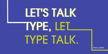

## **Herb Lubalin**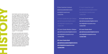Avant Garde was first used as the logo for a new magazine by the publisher and poet Ralph Ginzburg. Herb Lubalin, the art director for the publication, showed several sketches for the logo to Ginz burg but none captured the concept of the magazine to be called Avant Garde. Finally, for his historic solution, "Luballin adapted gothic caps and changed the an gles of the "A" and "V" so they fit together like a wedge of pie. He angularized the second "A"so that its right stem is parallel with the left of the "N" and halved the "T" so that one half of it was part of the "N." The perfectly round "G" carved into the angular "A" in the GARDE.

Both words were tightly letter spaced to be perfectly stacked and thus could fit as a block anywhere on the cover. Lubalin turned his rough sketch over to type de signer Tom Carnase, his partner at Lubalin Smith Carnase, who rendered the final form. Since Lubalin wanted all department heads for the magazine to be consistent with the logo, Carnase designed additional charac ters and created more ligatures. After mak ing a handful of there were almost enough characters to complete an entire alphabet and Avant Garde Gothic was born.

abcdefghijklmnopqrstuvwxyz

4567890

abcdefghijklmnopqrstuvwxyz

1234567890

abcdefghijklmnopqrstuvwxyz

1234567890

ITC Avant Garde Medium

**ABCDEFGHIJKLMNOPQRSTUVWXYZ** 

ITC Avant Garde Demi

**ABCDEFGHIJKLMNOPQRSTUVWXYZ** 

**ITC Avant Garde Bold ABCDEFGHIJKLMNOPQRSTUVWXYZ abcdefghijklmnopqrstuvwxyz 1234567890**

Avant Garde Extra Light

CDEEGHIJKI MNOPQRSTUVWXYZ

| <b>ITC Avant Garde Book Condensed</b> | IIC, |
|---------------------------------------|------|
| <b>ABCDEFGHIJKLMNOPQRSTUVWXYZ</b>     | ABC  |
| abcdefghijklmnopgrstuvwxyz            | abc  |
| 1234567890                            | 123. |
|                                       |      |

*ABCDEFGHIJKLMNOPQRSTUVWXYZ abcdefghijklmnopqrstuvwxyz 1234567890 ITC Avant Garde Extra Light Oblique*

*ABCDEFGHIJKLMNOPQRSTUVWXYZ abcdefghijklmnopqrstuvwxyz 1234567890 ITC Avant Garde Medium Oblique*

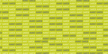IT GARDE AVANT GARDE AVANT GARDE AVANT GARDE AVANT GARDE AVANT GARDE AVANT GARDE AVANT GARDE AVAN GARDE AVANT GARDE AVANT GARDE AVANT GARDE AVANT GARDE AVANT GARDE AVANT GARDE AVANT GARDE AVANT GARDE IT GARDE AVANT GARDE AVANT GARDE AVANT GARDE AVANT GARDE AVANT GARDE AVANT GARDE AVANT GARDE AVAN DE AVANT GARDE AVANT GARDE AVANT GARDE AVANT GARDE AVANT GARDE AVANT GARDE AVANT GARDE AVANT GARI IT GARDE AVANT GARDE AVANT GARDE AVANT GARDE AVANT GARDE AVANT GARDE AVANT GARDE AVANT GARDE AVAN DE AVANT GARDE AVANT GARDE AVANT GARDE AVANT GARDE AVANT GARDE AVANT GARDE AVANT GARDE AVANT GARI IT GARDE AVANT GARDE AVANT GARDE AVANT GARDE AVANT GARDE AVANT GARDE AVANT GARDE AVANT GARDE AVAN DE AVANT GARDE AVANT GARDE AVANT GARDE AVANT GARDE AVANT GARDE AVANT GARDE AVANT GARDE AVANT GARI IT GARDE AVANT GARDE AVANT GARDE AVANT GARDE AVANT GARDE AVANT GARDE AVANT GARDE AVANT GARDE AVAN DE AVANT GARDE AVANT GARDE AVANT GARDE AVANT GARDE AVANT GARDE AVANT GARDE AVANT GARDE AVANT GARI IT GARDE AVANT GARDE AVANT GARDE AVANT GARDE AVANT GARDE AVANT GARDE AVANT GARDE AVANT GARDE AVAN DE AVANT GARDE AVANT GARDE AVANT GARDE AVANT GARDE AVANT GARDE AVANT GARDE AVANT GARDE AVANT GARI IT GARDE AVANT GARDE AVANT GARDE AVANT GARDE AVANT GARDE AVANT GARDE AVANT GARDE AVANT GARDE AVAN DE AVANT GARDE AVANT GARDE AVANT GARDE AVANT GARDE AVANT GARDE AVANT GARDE AVANT GARDE AVANT GARI IT GARDE AVANT GARDE AANT GARDE AVANT GARDE AVANT GARDE AVANT GARDE AVANT GARDE AVANT GARDE AVANT IT GARDE AVANT GARDE AVANT GARDE AVANT GARDE AVANT GARDE AVANT GARDE AVANT GARDE AVANT GARDE AVAN DE AVANT GARDE AVANT GARDE AVANT GARDE AVANT GARDE AVANT GARDE AVANT GARDE AVANT GARDE AVANT GARI GARDE AVANT GARDE AVANT GARDE AVANT GARDE AVANT GARDE AVANT GARDE AVANT GARDE AVANT GARDE AVANT GARDE IT GARDE AVANT GARDE AVANT GARDE AVANT GARDE AVANT GARDE AVANT GARDE AVANT GARDE AVANT GARDEGARD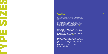### **Type Sizes Example Sizes B**  $\frac{14}{3}$  **Contract Contract Contract Contract Contract Contract Contract Contract Contract Contract Contract Contract Contract Contract Contract Contract Contract Contract Contract Contra**

**TYPE SIZES** 

Avant Garde is a geometric sans serif type that is reminiscent of the work from the 1920s German Bauhaus movement. Its distinct look and popularity make it an obvious choice for my list of interesting fonts. 10 Pt

Avant Garde is a geometric sans serif type that is reminiscent of the work from the 1920s German Bauhaus movement. Its distinct look and popularity make it an obvious choice for my list of interesting fonts. 12 Pt

Avant Garde is a geometric sans serif type that is reminiscent of the work from the 1920s German Bauhaus movement. Its distinct look and popularity make it an obvious choice for my list of interesting fonts. 14 Pt

Avant Garde is a geometric sans serif type that is reminiscent of the work from the 1920s German Bauhaus movement. Its distinct look and popularity make it an obvious choice for my list of interesting fonts. 8 Pt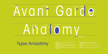# Type Anaotmy

Apex: a point at the top of a character where two strokes meet.





**Counter:** The negative spaces inside letter forms. **Ascender:** the part of a lower-case letter that is taller than the front's x-height.

**Descender:** the part of the letter that extends below the baseline.

**Crossbar:** the horizontal stroke in letters. **Eye:** refers specifically to the enclosed space in a

**Shoulder:** the curved stroke aiming downward from

**Stem:** the main vertical stroke in upright characters.

lowercase e. a stem.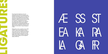Æ SS ST EA KA RA LA GA FR



Even thoguh the ligatures we're not published at first when the typeface was originally developed, that are included now. However, many designers are accused of abusing the ligatures and the Avant Garde typeface in general because they are using it incorrectly. The ligatures are used in the original logo design for the magazine Avant Garde.ITC Avant Garde Gothic's tight-fitting and overlapping alternates and ligatures are a trademark of '60s and '70s design, but have seen a huge resurgence of late.

LIGATURES CONTRACTOR

Maligned by some, sought by many, Herb Lubalin's logo-turned-typeface has be come a go-to font for hipsters and fashion mags the world over. There are two ways to get these special characters for Avant Garde. Each version is based on the orig inal film-based design, but are digitized slightly differently.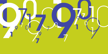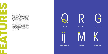Avant Garde is a geometric sans serif type. Its letterforms are built upon basic shapes such as straight lines and circles that are very reminiscent to work of the Bauhaus movement in the 1920s. The lowercase type has large, open counters and large x-heights that make it perfect for display copy or short snippets of text. Some key feautures and characteristics that help identify this type are the low crossbar on the uppercase G, open counter on the uppercase R, vertical rectangular dots over the lowercase i and j, and wavy tail from the inside counter of the uppercase Q.

Q



Wavy Tail **Communist Counter Counter Low crossbar**